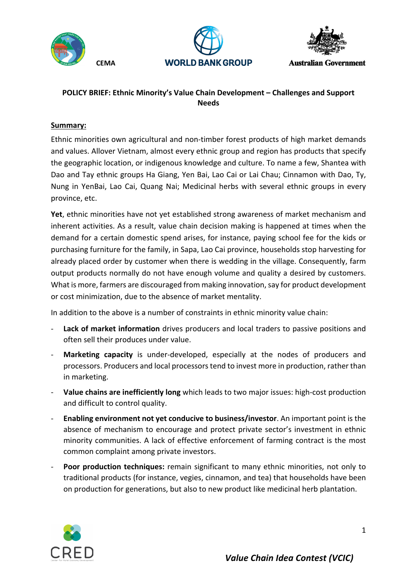

 **CEMA** 





**Australian Government** 

# **POLICY BRIEF: Ethnic Minority's Value Chain Development – Challenges and Support Needs**

# **Summary:**

Ethnic minorities own agricultural and non-timber forest products of high market demands and values. Allover Vietnam, almost every ethnic group and region has products that specify the geographic location, or indigenous knowledge and culture. To name a few, Shantea with Dao and Tay ethnic groups Ha Giang, Yen Bai, Lao Cai or Lai Chau; Cinnamon with Dao, Ty, Nung in YenBai, Lao Cai, Quang Nai; Medicinal herbs with several ethnic groups in every province, etc.

**Yet**, ethnic minorities have not yet established strong awareness of market mechanism and inherent activities. As a result, value chain decision making is happened at times when the demand for a certain domestic spend arises, for instance, paying school fee for the kids or purchasing furniture for the family, in Sapa, Lao Cai province, households stop harvesting for already placed order by customer when there is wedding in the village. Consequently, farm output products normally do not have enough volume and quality a desired by customers. What is more, farmers are discouraged from making innovation, say for product development or cost minimization, due to the absence of market mentality.

In addition to the above is a number of constraints in ethnic minority value chain:

- Lack of market information drives producers and local traders to passive positions and often sell their produces under value.
- **Marketing capacity** is under-developed, especially at the nodes of producers and processors. Producers and local processors tend to invest more in production, rather than in marketing.
- **Value chains are inefficiently long** which leads to two major issues: high-cost production and difficult to control quality.
- **Enabling environment not yet conducive to business/investor**. An important point is the absence of mechanism to encourage and protect private sector's investment in ethnic minority communities. A lack of effective enforcement of farming contract is the most common complaint among private investors.
- **Poor production techniques:** remain significant to many ethnic minorities, not only to traditional products (for instance, vegies, cinnamon, and tea) that households have been on production for generations, but also to new product like medicinal herb plantation.

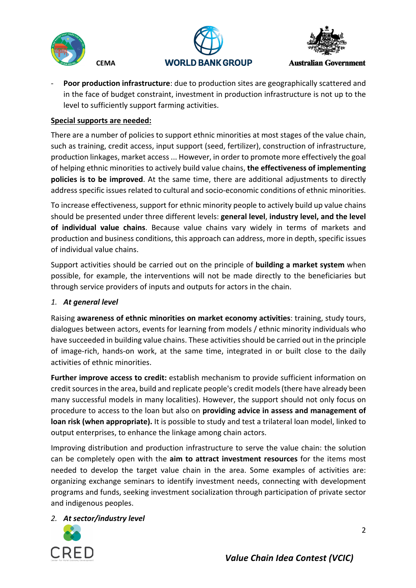





**Australian Government** 

- **Poor production infrastructure**: due to production sites are geographically scattered and in the face of budget constraint, investment in production infrastructure is not up to the level to sufficiently support farming activities.

# **Special supports are needed:**

 **CEMA** 

There are a number of policies to support ethnic minorities at most stages of the value chain, such as training, credit access, input support (seed, fertilizer), construction of infrastructure, production linkages, market access ... However, in order to promote more effectively the goal of helping ethnic minorities to actively build value chains, **the effectiveness of implementing policies is to be improved**. At the same time, there are additional adjustments to directly address specific issues related to cultural and socio-economic conditions of ethnic minorities.

To increase effectiveness, support for ethnic minority people to actively build up value chains should be presented under three different levels: **general level**, **industry level, and the level of individual value chains**. Because value chains vary widely in terms of markets and production and business conditions, this approach can address, more in depth, specific issues of individual value chains.

Support activities should be carried out on the principle of **building a market system** when possible, for example, the interventions will not be made directly to the beneficiaries but through service providers of inputs and outputs for actors in the chain.

### *1. At general level*

Raising **awareness of ethnic minorities on market economy activities**: training, study tours, dialogues between actors, events for learning from models / ethnic minority individuals who have succeeded in building value chains. These activities should be carried out in the principle of image-rich, hands-on work, at the same time, integrated in or built close to the daily activities of ethnic minorities.

**Further improve access to credit:** establish mechanism to provide sufficient information on credit sources in the area, build and replicate people's credit models (there have already been many successful models in many localities). However, the support should not only focus on procedure to access to the loan but also on **providing advice in assess and management of loan risk (when appropriate).** It is possible to study and test a trilateral loan model, linked to output enterprises, to enhance the linkage among chain actors.

Improving distribution and production infrastructure to serve the value chain: the solution can be completely open with the **aim to attract investment resources** for the items most needed to develop the target value chain in the area. Some examples of activities are: organizing exchange seminars to identify investment needs, connecting with development programs and funds, seeking investment socialization through participation of private sector and indigenous peoples.

### *2. At sector/industry level*

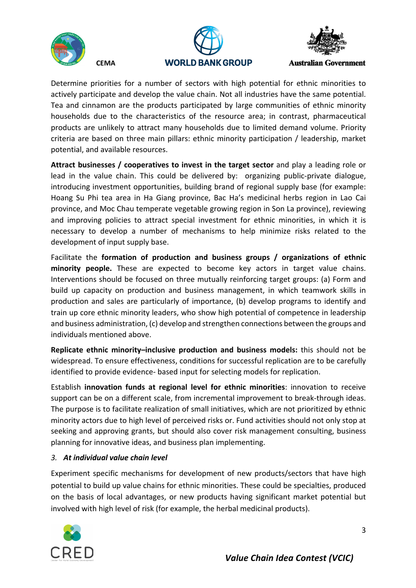

 **CEMA** 





**Australian Government** 

Determine priorities for a number of sectors with high potential for ethnic minorities to actively participate and develop the value chain. Not all industries have the same potential. Tea and cinnamon are the products participated by large communities of ethnic minority households due to the characteristics of the resource area; in contrast, pharmaceutical products are unlikely to attract many households due to limited demand volume. Priority criteria are based on three main pillars: ethnic minority participation / leadership, market potential, and available resources.

**Attract businesses / cooperatives to invest in the target sector** and play a leading role or lead in the value chain. This could be delivered by: organizing public-private dialogue, introducing investment opportunities, building brand of regional supply base (for example: Hoang Su Phi tea area in Ha Giang province, Bac Ha's medicinal herbs region in Lao Cai province, and Moc Chau temperate vegetable growing region in Son La province), reviewing and improving policies to attract special investment for ethnic minorities, in which it is necessary to develop a number of mechanisms to help minimize risks related to the development of input supply base.

Facilitate the **formation of production and business groups / organizations of ethnic minority people.** These are expected to become key actors in target value chains. Interventions should be focused on three mutually reinforcing target groups: (a) Form and build up capacity on production and business management, in which teamwork skills in production and sales are particularly of importance, (b) develop programs to identify and train up core ethnic minority leaders, who show high potential of competence in leadership and business administration, (c) develop and strengthen connections between the groups and individuals mentioned above.

**Replicate ethnic minority–inclusive production and business models:** this should not be widespread. To ensure effectiveness, conditions for successful replication are to be carefully identified to provide evidence- based input for selecting models for replication.

Establish **innovation funds at regional level for ethnic minorities**: innovation to receive support can be on a different scale, from incremental improvement to break-through ideas. The purpose is to facilitate realization of small initiatives, which are not prioritized by ethnic minority actors due to high level of perceived risks or. Fund activities should not only stop at seeking and approving grants, but should also cover risk management consulting, business planning for innovative ideas, and business plan implementing.

### *3. At individual value chain level*

Experiment specific mechanisms for development of new products/sectors that have high potential to build up value chains for ethnic minorities. These could be specialties, produced on the basis of local advantages, or new products having significant market potential but involved with high level of risk (for example, the herbal medicinal products).